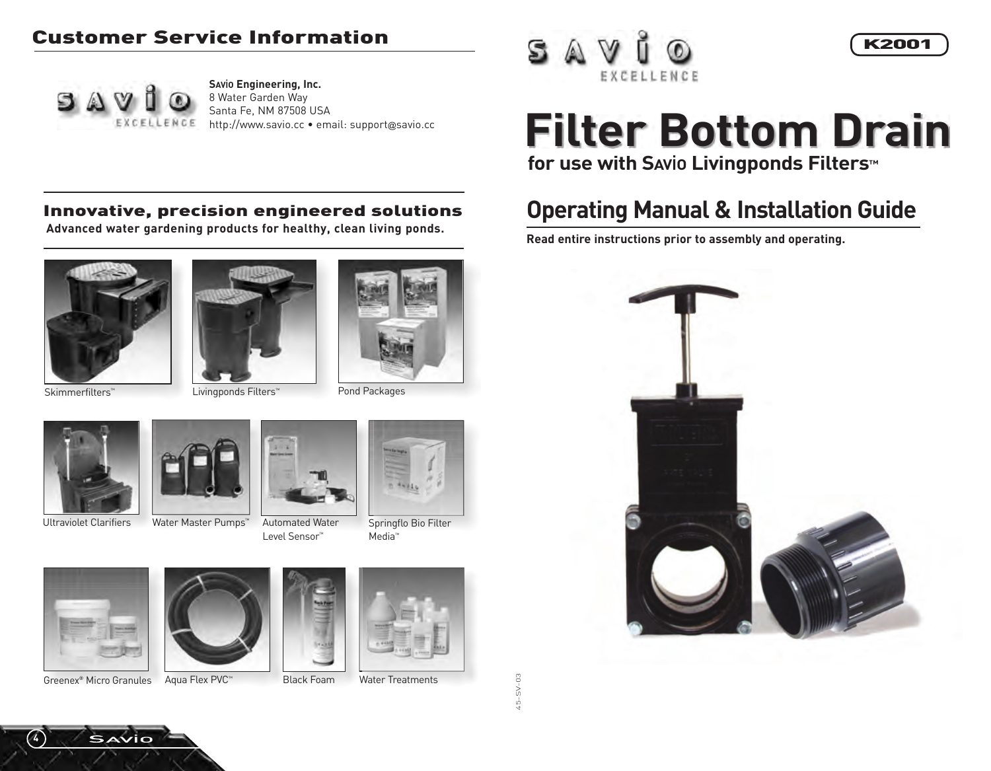#### Customer Service Information



**SAViO Engineering, Inc.** 8 Water Garden Way Santa Fe, NM 87508 USA http://www.savio.cc • email: support@savio.cc



#### K2001

# **Filter Bottom Drain for use with SAViO Livingponds Filters™**

## **Operating Manual & Installation Guide**

**Read entire instructions prior to assembly and operating.**



#### Innovative, precision engineered solutions

**Advanced water gardening products for healthy, clean living ponds.**











Water Master Pumps<sup>™</sup> Automated Water Level Sensor™



Springflo Bio Filter Media™



Greenex® Micro Granules Aqua Flex PVC™ Black Foam Water Treatments

**SAVIO** 

**4**



Black Foam



45-SV-03

 $45 - S - 03$